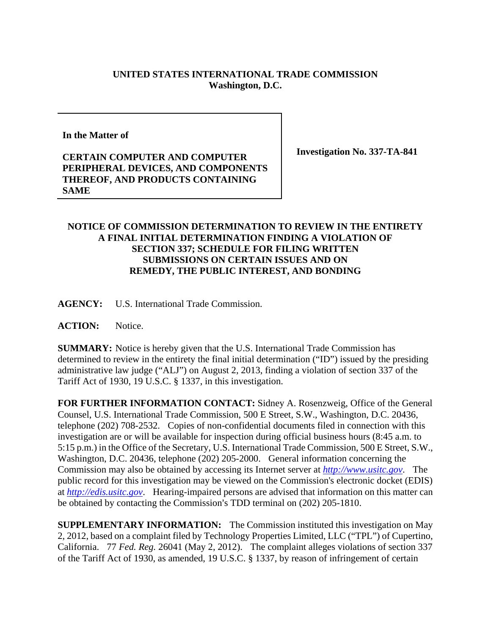## **UNITED STATES INTERNATIONAL TRADE COMMISSION Washington, D.C.**

**In the Matter of** 

## **CERTAIN COMPUTER AND COMPUTER PERIPHERAL DEVICES, AND COMPONENTS THEREOF, AND PRODUCTS CONTAINING SAME**

**Investigation No. 337-TA-841** 

## **NOTICE OF COMMISSION DETERMINATION TO REVIEW IN THE ENTIRETY A FINAL INITIAL DETERMINATION FINDING A VIOLATION OF SECTION 337; SCHEDULE FOR FILING WRITTEN SUBMISSIONS ON CERTAIN ISSUES AND ON REMEDY, THE PUBLIC INTEREST, AND BONDING**

**AGENCY:** U.S. International Trade Commission.

**ACTION:** Notice.

**SUMMARY:** Notice is hereby given that the U.S. International Trade Commission has determined to review in the entirety the final initial determination ("ID") issued by the presiding administrative law judge ("ALJ") on August 2, 2013, finding a violation of section 337 of the Tariff Act of 1930, 19 U.S.C. § 1337, in this investigation.

**FOR FURTHER INFORMATION CONTACT:** Sidney A. Rosenzweig, Office of the General Counsel, U.S. International Trade Commission, 500 E Street, S.W., Washington, D.C. 20436, telephone (202) 708-2532. Copies of non-confidential documents filed in connection with this investigation are or will be available for inspection during official business hours (8:45 a.m. to 5:15 p.m.) in the Office of the Secretary, U.S. International Trade Commission, 500 E Street, S.W., Washington, D.C. 20436, telephone (202) 205-2000. General information concerning the Commission may also be obtained by accessing its Internet server at *http://www.usitc.gov*. The public record for this investigation may be viewed on the Commission's electronic docket (EDIS) at *http://edis.usitc.gov*. Hearing-impaired persons are advised that information on this matter can be obtained by contacting the Commission's TDD terminal on (202) 205-1810.

**SUPPLEMENTARY INFORMATION:** The Commission instituted this investigation on May 2, 2012, based on a complaint filed by Technology Properties Limited, LLC ("TPL") of Cupertino, California. 77 *Fed. Reg.* 26041 (May 2, 2012). The complaint alleges violations of section 337 of the Tariff Act of 1930, as amended, 19 U.S.C. § 1337, by reason of infringement of certain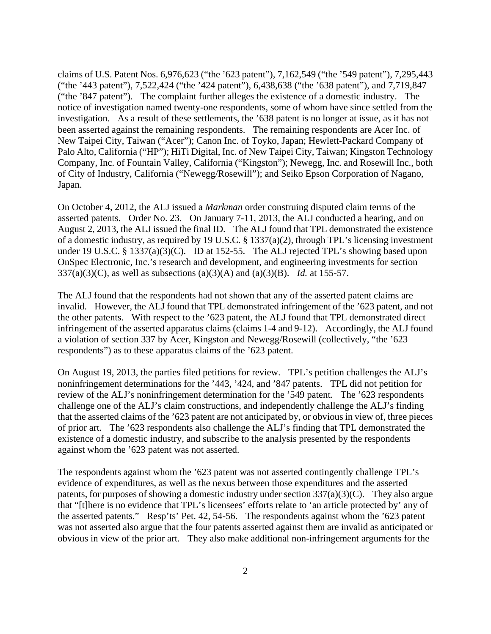claims of U.S. Patent Nos. 6,976,623 ("the '623 patent"), 7,162,549 ("the '549 patent"), 7,295,443 ("the '443 patent"), 7,522,424 ("the '424 patent"), 6,438,638 ("the '638 patent"), and 7,719,847 ("the '847 patent"). The complaint further alleges the existence of a domestic industry. The notice of investigation named twenty-one respondents, some of whom have since settled from the investigation. As a result of these settlements, the '638 patent is no longer at issue, as it has not been asserted against the remaining respondents. The remaining respondents are Acer Inc. of New Taipei City, Taiwan ("Acer"); Canon Inc. of Toyko, Japan; Hewlett-Packard Company of Palo Alto, California ("HP"); HiTi Digital, Inc. of New Taipei City, Taiwan; Kingston Technology Company, Inc. of Fountain Valley, California ("Kingston"); Newegg, Inc. and Rosewill Inc., both of City of Industry, California ("Newegg/Rosewill"); and Seiko Epson Corporation of Nagano, Japan.

On October 4, 2012, the ALJ issued a *Markman* order construing disputed claim terms of the asserted patents. Order No. 23. On January 7-11, 2013, the ALJ conducted a hearing, and on August 2, 2013, the ALJ issued the final ID. The ALJ found that TPL demonstrated the existence of a domestic industry, as required by 19 U.S.C. § 1337(a)(2), through TPL's licensing investment under 19 U.S.C. § 1337(a)(3)(C). ID at 152-55. The ALJ rejected TPL's showing based upon OnSpec Electronic, Inc.'s research and development, and engineering investments for section 337(a)(3)(C), as well as subsections (a)(3)(A) and (a)(3)(B). *Id.* at 155-57.

The ALJ found that the respondents had not shown that any of the asserted patent claims are invalid. However, the ALJ found that TPL demonstrated infringement of the '623 patent, and not the other patents. With respect to the '623 patent, the ALJ found that TPL demonstrated direct infringement of the asserted apparatus claims (claims 1-4 and 9-12). Accordingly, the ALJ found a violation of section 337 by Acer, Kingston and Newegg/Rosewill (collectively, "the '623 respondents") as to these apparatus claims of the '623 patent.

On August 19, 2013, the parties filed petitions for review. TPL's petition challenges the ALJ's noninfringement determinations for the '443, '424, and '847 patents. TPL did not petition for review of the ALJ's noninfringement determination for the '549 patent. The '623 respondents challenge one of the ALJ's claim constructions, and independently challenge the ALJ's finding that the asserted claims of the '623 patent are not anticipated by, or obvious in view of, three pieces of prior art. The '623 respondents also challenge the ALJ's finding that TPL demonstrated the existence of a domestic industry, and subscribe to the analysis presented by the respondents against whom the '623 patent was not asserted.

The respondents against whom the '623 patent was not asserted contingently challenge TPL's evidence of expenditures, as well as the nexus between those expenditures and the asserted patents, for purposes of showing a domestic industry under section 337(a)(3)(C). They also argue that "[t]here is no evidence that TPL's licensees' efforts relate to 'an article protected by' any of the asserted patents." Resp'ts' Pet. 42, 54-56. The respondents against whom the '623 patent was not asserted also argue that the four patents asserted against them are invalid as anticipated or obvious in view of the prior art. They also make additional non-infringement arguments for the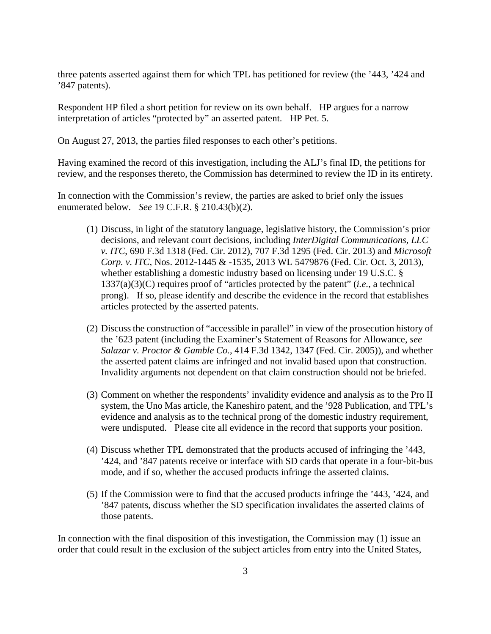three patents asserted against them for which TPL has petitioned for review (the '443, '424 and '847 patents).

Respondent HP filed a short petition for review on its own behalf. HP argues for a narrow interpretation of articles "protected by" an asserted patent. HP Pet. 5.

On August 27, 2013, the parties filed responses to each other's petitions.

Having examined the record of this investigation, including the ALJ's final ID, the petitions for review, and the responses thereto, the Commission has determined to review the ID in its entirety.

In connection with the Commission's review, the parties are asked to brief only the issues enumerated below. *See* 19 C.F.R. § 210.43(b)(2).

- (1) Discuss, in light of the statutory language, legislative history, the Commission's prior decisions, and relevant court decisions, including *InterDigital Communications, LLC v. ITC*, 690 F.3d 1318 (Fed. Cir. 2012), 707 F.3d 1295 (Fed. Cir. 2013) and *Microsoft Corp. v. ITC*, Nos. 2012-1445 & -1535, 2013 WL 5479876 (Fed. Cir. Oct. 3, 2013), whether establishing a domestic industry based on licensing under 19 U.S.C. § 1337(a)(3)(C) requires proof of "articles protected by the patent" (*i.e.*, a technical prong). If so, please identify and describe the evidence in the record that establishes articles protected by the asserted patents.
- (2) Discuss the construction of "accessible in parallel" in view of the prosecution history of the '623 patent (including the Examiner's Statement of Reasons for Allowance, *see Salazar v. Proctor & Gamble Co.*, 414 F.3d 1342, 1347 (Fed. Cir. 2005)), and whether the asserted patent claims are infringed and not invalid based upon that construction. Invalidity arguments not dependent on that claim construction should not be briefed.
- (3) Comment on whether the respondents' invalidity evidence and analysis as to the Pro II system, the Uno Mas article, the Kaneshiro patent, and the '928 Publication, and TPL's evidence and analysis as to the technical prong of the domestic industry requirement, were undisputed. Please cite all evidence in the record that supports your position.
- (4) Discuss whether TPL demonstrated that the products accused of infringing the '443, '424, and '847 patents receive or interface with SD cards that operate in a four-bit-bus mode, and if so, whether the accused products infringe the asserted claims.
- (5) If the Commission were to find that the accused products infringe the '443, '424, and '847 patents, discuss whether the SD specification invalidates the asserted claims of those patents.

In connection with the final disposition of this investigation, the Commission may (1) issue an order that could result in the exclusion of the subject articles from entry into the United States,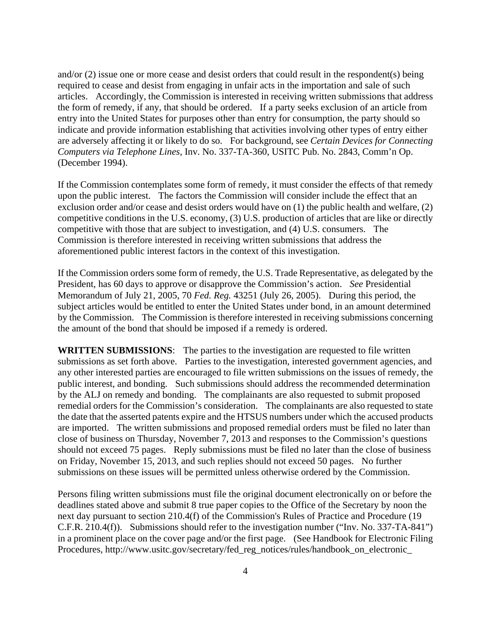and/or (2) issue one or more cease and desist orders that could result in the respondent(s) being required to cease and desist from engaging in unfair acts in the importation and sale of such articles. Accordingly, the Commission is interested in receiving written submissions that address the form of remedy, if any, that should be ordered. If a party seeks exclusion of an article from entry into the United States for purposes other than entry for consumption, the party should so indicate and provide information establishing that activities involving other types of entry either are adversely affecting it or likely to do so. For background, see *Certain Devices for Connecting Computers via Telephone Lines*, Inv. No. 337-TA-360, USITC Pub. No. 2843, Comm'n Op. (December 1994).

If the Commission contemplates some form of remedy, it must consider the effects of that remedy upon the public interest. The factors the Commission will consider include the effect that an exclusion order and/or cease and desist orders would have on (1) the public health and welfare, (2) competitive conditions in the U.S. economy, (3) U.S. production of articles that are like or directly competitive with those that are subject to investigation, and (4) U.S. consumers. The Commission is therefore interested in receiving written submissions that address the aforementioned public interest factors in the context of this investigation.

If the Commission orders some form of remedy, the U.S. Trade Representative, as delegated by the President, has 60 days to approve or disapprove the Commission's action. *See* Presidential Memorandum of July 21, 2005, 70 *Fed. Reg.* 43251 (July 26, 2005). During this period, the subject articles would be entitled to enter the United States under bond, in an amount determined by the Commission. The Commission is therefore interested in receiving submissions concerning the amount of the bond that should be imposed if a remedy is ordered.

**WRITTEN SUBMISSIONS**:The parties to the investigation are requested to file written submissions as set forth above. Parties to the investigation, interested government agencies, and any other interested parties are encouraged to file written submissions on the issues of remedy, the public interest, and bonding. Such submissions should address the recommended determination by the ALJ on remedy and bonding. The complainants are also requested to submit proposed remedial orders for the Commission's consideration. The complainants are also requested to state the date that the asserted patents expire and the HTSUS numbers under which the accused products are imported. The written submissions and proposed remedial orders must be filed no later than close of business on Thursday, November 7, 2013 and responses to the Commission's questions should not exceed 75 pages. Reply submissions must be filed no later than the close of business on Friday, November 15, 2013, and such replies should not exceed 50 pages. No further submissions on these issues will be permitted unless otherwise ordered by the Commission.

Persons filing written submissions must file the original document electronically on or before the deadlines stated above and submit 8 true paper copies to the Office of the Secretary by noon the next day pursuant to section 210.4(f) of the Commission's Rules of Practice and Procedure (19 C.F.R. 210.4(f)). Submissions should refer to the investigation number ("Inv. No. 337-TA-841") in a prominent place on the cover page and/or the first page. (See Handbook for Electronic Filing Procedures, http://www.usitc.gov/secretary/fed\_reg\_notices/rules/handbook\_on\_electronic\_